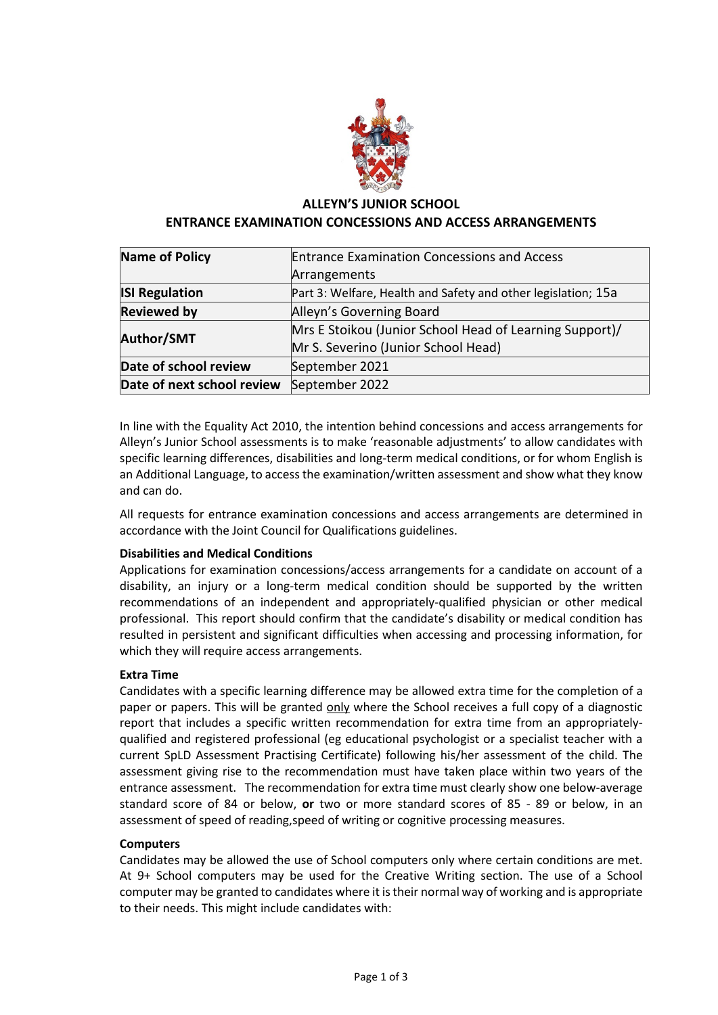

# **ALLEYN'S JUNIOR SCHOOL ENTRANCE EXAMINATION CONCESSIONS AND ACCESS ARRANGEMENTS**

| Name of Policy             | <b>Entrance Examination Concessions and Access</b>            |
|----------------------------|---------------------------------------------------------------|
|                            | Arrangements                                                  |
| <b>ISI Regulation</b>      | Part 3: Welfare, Health and Safety and other legislation; 15a |
| <b>Reviewed by</b>         | Alleyn's Governing Board                                      |
| <b>Author/SMT</b>          | Mrs E Stoikou (Junior School Head of Learning Support)/       |
|                            | Mr S. Severino (Junior School Head)                           |
| Date of school review      | September 2021                                                |
| Date of next school review | September 2022                                                |

In line with the Equality Act 2010, the intention behind concessions and access arrangements for Alleyn's Junior School assessments is to make 'reasonable adjustments' to allow candidates with specific learning differences, disabilities and long-term medical conditions, or for whom English is an Additional Language, to access the examination/written assessment and show what they know and can do.

All requests for entrance examination concessions and access arrangements are determined in accordance with the Joint Council for Qualifications guidelines.

# **Disabilities and Medical Conditions**

Applications for examination concessions/access arrangements for a candidate on account of a disability, an injury or a long-term medical condition should be supported by the written recommendations of an independent and appropriately-qualified physician or other medical professional. This report should confirm that the candidate's disability or medical condition has resulted in persistent and significant difficulties when accessing and processing information, for which they will require access arrangements.

## **Extra Time**

Candidates with a specific learning difference may be allowed extra time for the completion of a paper or papers. This will be granted only where the School receives a full copy of a diagnostic report that includes a specific written recommendation for extra time from an appropriatelyqualified and registered professional (eg educational psychologist or a specialist teacher with a current SpLD Assessment Practising Certificate) following his/her assessment of the child. The assessment giving rise to the recommendation must have taken place within two years of the entrance assessment. The recommendation for extra time must clearly show one below-average standard score of 84 or below, **or** two or more standard scores of 85 - 89 or below, in an assessment of speed of reading,speed of writing or cognitive processing measures.

## **Computers**

Candidates may be allowed the use of School computers only where certain conditions are met. At 9+ School computers may be used for the Creative Writing section. The use of a School computer may be granted to candidates where it is their normal way of working and is appropriate to their needs. This might include candidates with: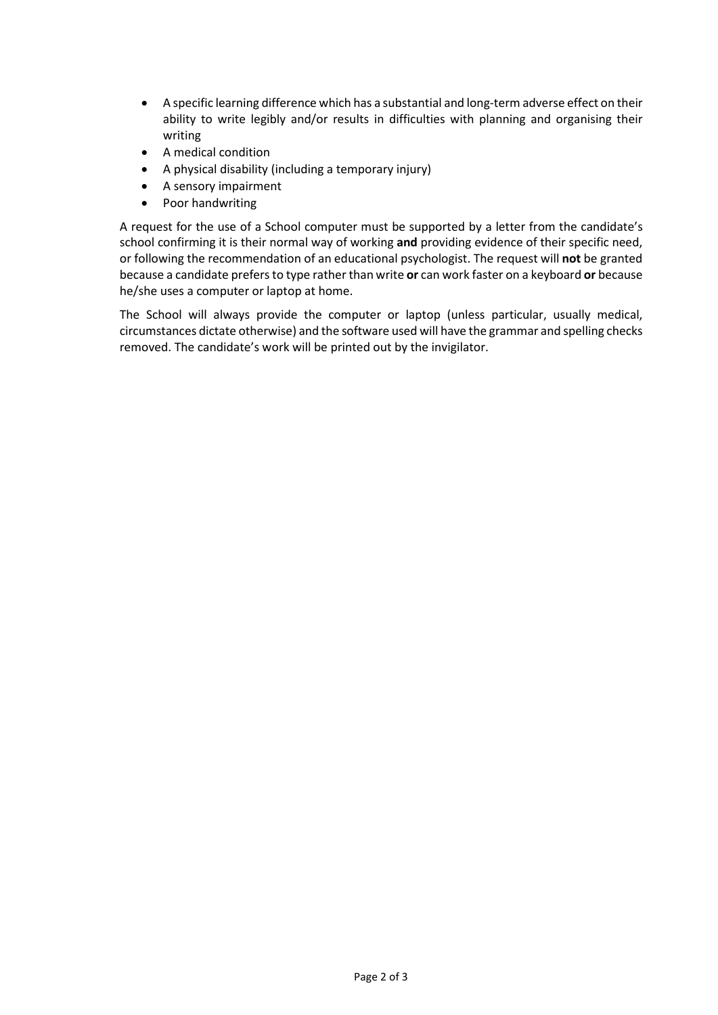- A specific learning difference which has a substantial and long-term adverse effect on their ability to write legibly and/or results in difficulties with planning and organising their writing
- A medical condition
- A physical disability (including a temporary injury)
- A sensory impairment
- Poor handwriting

A request for the use of a School computer must be supported by a letter from the candidate's school confirming it is their normal way of working **and** providing evidence of their specific need, or following the recommendation of an educational psychologist. The request will **not** be granted because a candidate prefers to type rather than write **or** can work faster on a keyboard **or** because he/she uses a computer or laptop at home.

The School will always provide the computer or laptop (unless particular, usually medical, circumstances dictate otherwise) and the software used will have the grammar and spelling checks removed. The candidate's work will be printed out by the invigilator.